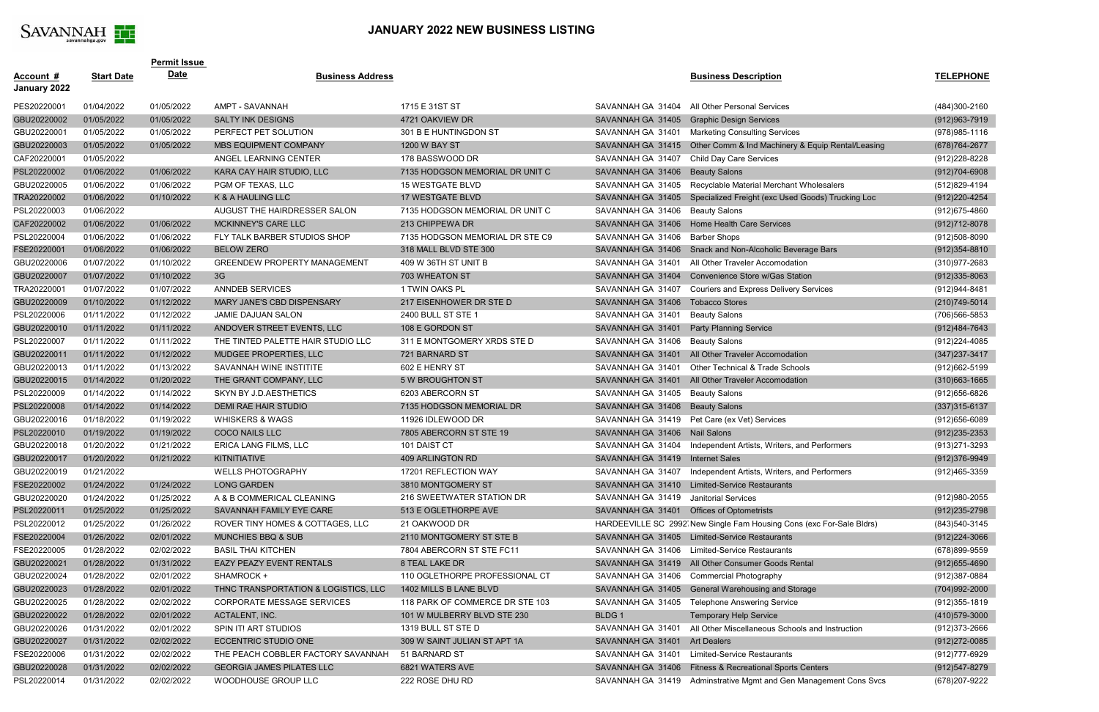

## **JANUARY 2022 NEW BUSINESS LISTING**

|                                  |                   | <b>Permit Issue</b> |                                      |                                 |                                           |                                                                      |                   |
|----------------------------------|-------------------|---------------------|--------------------------------------|---------------------------------|-------------------------------------------|----------------------------------------------------------------------|-------------------|
| <u>Account #</u><br>January 2022 | <b>Start Date</b> | <b>Date</b>         | <b>Business Address</b>              |                                 |                                           | <b>Business Description</b>                                          | <b>TELEPHONE</b>  |
| PES20220001                      | 01/04/2022        | 01/05/2022          | AMPT - SAVANNAH                      | 1715 E 31ST ST                  | SAVANNAH GA 31404                         | All Other Personal Services                                          | (484)300-2160     |
| GBU20220002                      | 01/05/2022        | 01/05/2022          | <b>SALTY INK DESIGNS</b>             | 4721 OAKVIEW DR                 | SAVANNAH GA 31405                         | <b>Graphic Design Services</b>                                       | (912) 963-7919    |
| GBU20220001                      | 01/05/2022        | 01/05/2022          | PERFECT PET SOLUTION                 | 301 B E HUNTINGDON ST           | SAVANNAH GA 31401                         | <b>Marketing Consulting Services</b>                                 | (978) 985-1116    |
| GBU20220003                      | 01/05/2022        | 01/05/2022          | MBS EQUIPMENT COMPANY                | 1200 W BAY ST                   |                                           | SAVANNAH GA 31415 Other Comm & Ind Machinery & Equip Rental/Leasing  | (678) 764-2677    |
| CAF20220001                      | 01/05/2022        |                     | ANGEL LEARNING CENTER                | 178 BASSWOOD DR                 | SAVANNAH GA 31407                         | <b>Child Day Care Services</b>                                       | (912) 228-8228    |
| PSL20220002                      | 01/06/2022        | 01/06/2022          | KARA CAY HAIR STUDIO, LLC            | 7135 HODGSON MEMORIAL DR UNIT C | SAVANNAH GA 31406                         | <b>Beauty Salons</b>                                                 | (912)704-6908     |
| GBU20220005                      | 01/06/2022        | 01/06/2022          | PGM OF TEXAS, LLC                    | <b>15 WESTGATE BLVD</b>         | SAVANNAH GA 31405                         | Recyclable Material Merchant Wholesalers                             | (512)829-4194     |
| TRA20220002                      | 01/06/2022        | 01/10/2022          | K & A HAULING LLC                    | 17 WESTGATE BLVD                | SAVANNAH GA 31405                         | Specialized Freight (exc Used Goods) Trucking Loc                    | (912) 220-4254    |
| PSL20220003                      | 01/06/2022        |                     | AUGUST THE HAIRDRESSER SALON         | 7135 HODGSON MEMORIAL DR UNIT C | SAVANNAH GA 31406                         | <b>Beauty Salons</b>                                                 | (912) 675-4860    |
| CAF20220002                      | 01/06/2022        | 01/06/2022          | MCKINNEY'S CARE LLC                  | 213 CHIPPEWA DR                 | SAVANNAH GA 31406                         | Home Health Care Services                                            | $(912)712 - 8078$ |
| PSL20220004                      | 01/06/2022        | 01/06/2022          | FLY TALK BARBER STUDIOS SHOP         | 7135 HODGSON MEMORIAL DR STE C9 | SAVANNAH GA 31406                         | <b>Barber Shops</b>                                                  | (912)508-8090     |
| FSE20220001                      | 01/06/2022        | 01/06/2022          | <b>BELOW ZERO</b>                    | 318 MALL BLVD STE 300           |                                           | SAVANNAH GA 31406 Snack and Non-Alcoholic Beverage Bars              | $(912)354 - 8810$ |
| GBU20220006                      | 01/07/2022        | 01/10/2022          | <b>GREENDEW PROPERTY MANAGEMENT</b>  | 409 W 36TH ST UNIT B            | SAVANNAH GA 31401                         | All Other Traveler Accomodation                                      | (310)977-2683     |
| GBU20220007                      | 01/07/2022        | 01/10/2022          | 3G                                   | 703 WHEATON ST                  | SAVANNAH GA 31404                         | Convenience Store w/Gas Station                                      | $(912)335 - 8063$ |
| TRA20220001                      | 01/07/2022        | 01/07/2022          | <b>ANNDEB SERVICES</b>               | 1 TWIN OAKS PL                  | SAVANNAH GA 31407                         | <b>Couriers and Express Delivery Services</b>                        | (912) 944-8481    |
| GBU20220009                      | 01/10/2022        | 01/12/2022          | MARY JANE'S CBD DISPENSARY           | 217 EISENHOWER DR STE D         | SAVANNAH GA 31406                         | <b>Tobacco Stores</b>                                                | (210) 749-5014    |
| PSL20220006                      | 01/11/2022        | 01/12/2022          | JAMIE DAJUAN SALON                   | 2400 BULL ST STE 1              | SAVANNAH GA 31401                         | <b>Beauty Salons</b>                                                 | (706)566-5853     |
| GBU20220010                      | 01/11/2022        | 01/11/2022          | ANDOVER STREET EVENTS, LLC           | 108 E GORDON ST                 | SAVANNAH GA 31401                         | <b>Party Planning Service</b>                                        | $(912)484 - 7643$ |
| PSL20220007                      | 01/11/2022        | 01/11/2022          | THE TINTED PALETTE HAIR STUDIO LLC   | 311 E MONTGOMERY XRDS STE D     | SAVANNAH GA 31406                         | <b>Beauty Salons</b>                                                 | (912) 224-4085    |
| GBU20220011                      | 01/11/2022        | 01/12/2022          | MUDGEE PROPERTIES, LLC               | 721 BARNARD ST                  | SAVANNAH GA 31401                         | All Other Traveler Accomodation                                      | $(347)$ 237-3417  |
| GBU20220013                      | 01/11/2022        | 01/13/2022          | SAVANNAH WINE INSTITITE              | 602 E HENRY ST                  | SAVANNAH GA 31401                         | Other Technical & Trade Schools                                      | (912)662-5199     |
| GBU20220015                      | 01/14/2022        | 01/20/2022          | THE GRANT COMPANY, LLC               | 5 W BROUGHTON ST                | SAVANNAH GA 31401                         | All Other Traveler Accomodation                                      | $(310)663 - 1665$ |
| PSL20220009                      | 01/14/2022        | 01/14/2022          | SKYN BY J.D.AESTHETICS               | 6203 ABERCORN ST                | SAVANNAH GA 31405                         | <b>Beauty Salons</b>                                                 | (912) 656-6826    |
| PSL20220008                      | 01/14/2022        | 01/14/2022          | DEMI RAE HAIR STUDIO                 | 7135 HODGSON MEMORIAL DR        | SAVANNAH GA 31406 Beauty Salons           |                                                                      | $(337)315-6137$   |
| GBU20220016                      | 01/18/2022        | 01/19/2022          | <b>WHISKERS &amp; WAGS</b>           | 11926 IDLEWOOD DR               |                                           | SAVANNAH GA 31419 Pet Care (ex Vet) Services                         | (912) 656-6089    |
| PSL20220010                      | 01/19/2022        | 01/19/2022          | <b>COCO NAILS LLC</b>                | 7805 ABERCORN ST STE 19         | SAVANNAH GA 31406 Nail Salons             |                                                                      | $(912)235 - 2353$ |
| GBU20220018                      | 01/20/2022        | 01/21/2022          | ERICA LANG FILMS, LLC                | 101 DAIST CT                    |                                           | SAVANNAH GA 31404 Independent Artists, Writers, and Performers       | (913) 271-3293    |
| GBU20220017                      | 01/20/2022        | 01/21/2022          | KITNITIATIVE                         | 409 ARLINGTON RD                | SAVANNAH GA 31419 Internet Sales          |                                                                      | (912)376-9949     |
| GBU20220019                      | 01/21/2022        |                     | <b>WELLS PHOTOGRAPHY</b>             | 17201 REFLECTION WAY            |                                           | SAVANNAH GA 31407 Independent Artists, Writers, and Performers       | (912)465-3359     |
| FSE20220002                      | 01/24/2022        | 01/24/2022          | <b>LONG GARDEN</b>                   | 3810 MONTGOMERY ST              |                                           | SAVANNAH GA 31410 Limited-Service Restaurants                        |                   |
| GBU20220020                      | 01/24/2022        | 01/25/2022          | A & B COMMERICAL CLEANING            | 216 SWEETWATER STATION DR       | SAVANNAH GA 31419 Janitorial Services     |                                                                      | (912) 980-2055    |
| PSL20220011                      | 01/25/2022        | 01/25/2022          | SAVANNAH FAMILY EYE CARE             | 513 E OGLETHORPE AVE            | SAVANNAH GA 31401 Offices of Optometrists |                                                                      | (912) 235-2798    |
| PSL20220012                      | 01/25/2022        | 01/26/2022          | ROVER TINY HOMES & COTTAGES, LLC     | 21 OAKWOOD DR                   |                                           | HARDEEVILLE SC 2992 New Single Fam Housing Cons (exc For-Sale Bldrs) | (843) 540-3145    |
| FSE20220004                      | 01/26/2022        | 02/01/2022          | <b>MUNCHIES BBQ &amp; SUB</b>        | 2110 MONTGOMERY ST STE B        |                                           | SAVANNAH GA 31405 Limited-Service Restaurants                        | $(912)224 - 3066$ |
| FSE20220005                      | 01/28/2022        | 02/02/2022          | <b>BASIL THAI KITCHEN</b>            | 7804 ABERCORN ST STE FC11       | SAVANNAH GA 31406                         | <b>Limited-Service Restaurants</b>                                   | (678)899-9559     |
| GBU20220021                      | 01/28/2022        | 01/31/2022          | EAZY PEAZY EVENT RENTALS             | 8 TEAL LAKE DR                  |                                           | SAVANNAH GA 31419 All Other Consumer Goods Rental                    | $(912)655 - 4690$ |
| GBU20220024                      | 01/28/2022        | 02/01/2022          | SHAMROCK +                           | 110 OGLETHORPE PROFESSIONAL CT  |                                           | SAVANNAH GA 31406 Commercial Photography                             | (912)387-0884     |
| GBU20220023                      | 01/28/2022        | 02/01/2022          | THNC TRANSPORTATION & LOGISTICS, LLC | 1402 MILLS B LANE BLVD          |                                           | SAVANNAH GA 31405 General Warehousing and Storage                    | (704) 992-2000    |
| GBU20220025                      | 01/28/2022        | 02/02/2022          | CORPORATE MESSAGE SERVICES           | 118 PARK OF COMMERCE DR STE 103 | SAVANNAH GA 31405                         | <b>Telephone Answering Service</b>                                   | (912)355-1819     |
| GBU20220022                      | 01/28/2022        | 02/01/2022          | ACTALENT, INC.                       | 101 W MULBERRY BLVD STE 230     | BLDG 1                                    | <b>Temporary Help Service</b>                                        | (410)579-3000     |
| GBU20220026                      | 01/31/2022        | 02/01/2022          | SPIN IT! ART STUDIOS                 | 1319 BULL ST STE D              | SAVANNAH GA 31401                         | All Other Miscellaneous Schools and Instruction                      | (912) 373-2666    |
| GBU20220027                      | 01/31/2022        | 02/02/2022          | ECCENTRIC STUDIO ONE                 | 309 W SAINT JULIAN ST APT 1A    | SAVANNAH GA 31401 Art Dealers             |                                                                      | $(912)272 - 0085$ |
| FSE20220006                      | 01/31/2022        | 02/02/2022          | THE PEACH COBBLER FACTORY SAVANNAH   | 51 BARNARD ST                   | SAVANNAH GA 31401                         | <b>Limited-Service Restaurants</b>                                   | (912)777-6929     |
| GBU20220028                      | 01/31/2022        | 02/02/2022          | <b>GEORGIA JAMES PILATES LLC</b>     | 6821 WATERS AVE                 |                                           | SAVANNAH GA 31406 Fitness & Recreational Sports Centers              | (912) 547-8279    |
| PSL20220014                      | 01/31/2022        | 02/02/2022          | WOODHOUSE GROUP LLC                  | 222 ROSE DHU RD                 |                                           | SAVANNAH GA 31419 Adminstrative Mgmt and Gen Management Cons Svcs    | (678) 207-9222    |